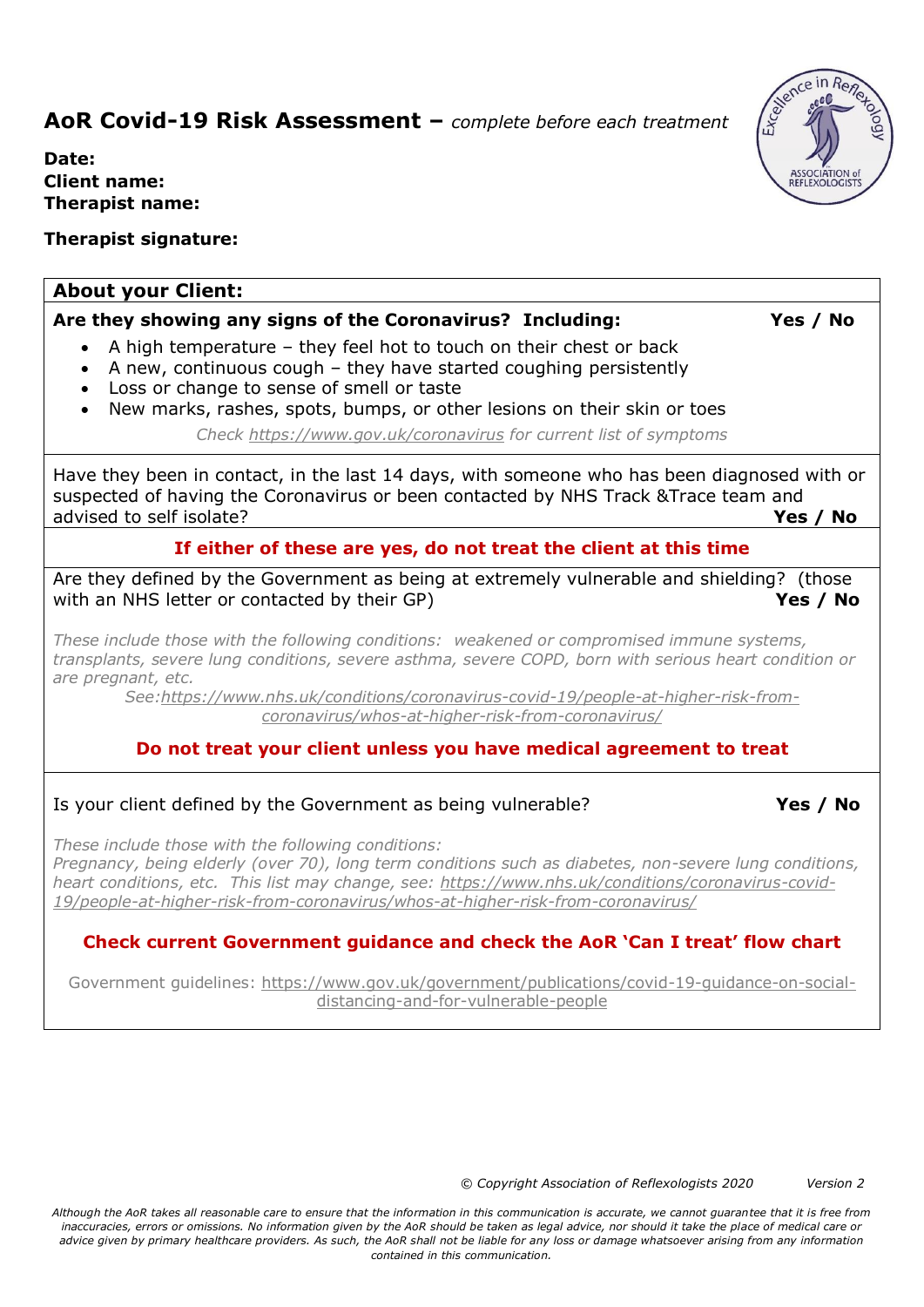## **AoR Covid-19 Risk Assessment –** *complete before each treatment*

**Date: Client name: Therapist name:**

**Therapist signature:**

# **About your Client: Are they showing any signs of the Coronavirus? Including: Yes / No** • A high temperature – they feel hot to touch on their chest or back • A new, continuous cough – they have started coughing persistently Loss or change to sense of smell or taste • New marks, rashes, spots, bumps, or other lesions on their skin or toes *Check<https://www.gov.uk/coronavirus> for current list of symptoms* Have they been in contact, in the last 14 days, with someone who has been diagnosed with or suspected of having the Coronavirus or been contacted by NHS Track &Trace team and advised to self isolate? **Yes / No If either of these are yes, do not treat the client at this time** Are they defined by the Government as being at extremely vulnerable and shielding? (those with an NHS letter or contacted by their GP) **Yes / No** *These include those with the following conditions: weakened or compromised immune systems, transplants, severe lung conditions, severe asthma, severe COPD, born with serious heart condition or are pregnant, etc. See[:https://www.nhs.uk/conditions/coronavirus-covid-19/people-at-higher-risk-from](https://www.nhs.uk/conditions/coronavirus-covid-19/people-at-higher-risk-from-coronavirus/whos-at-higher-risk-from-coronavirus/)[coronavirus/whos-at-higher-risk-from-coronavirus/](https://www.nhs.uk/conditions/coronavirus-covid-19/people-at-higher-risk-from-coronavirus/whos-at-higher-risk-from-coronavirus/)* **Do not treat your client unless you have medical agreement to treat** Is your client defined by the Government as being vulnerable? **Yes / No** *These include those with the following conditions: Pregnancy, being elderly (over 70), long term conditions such as diabetes, non-severe lung conditions, heart conditions, etc. This list may change, see: [https://www.nhs.uk/conditions/coronavirus-covid-](https://www.nhs.uk/conditions/coronavirus-covid-19/people-at-higher-risk-from-coronavirus/whos-at-higher-risk-from-coronavirus/)[19/people-at-higher-risk-from-coronavirus/whos-at-higher-risk-from-coronavirus/](https://www.nhs.uk/conditions/coronavirus-covid-19/people-at-higher-risk-from-coronavirus/whos-at-higher-risk-from-coronavirus/)* **Check current Government guidance and check the AoR 'Can I treat' flow chart** Government guidelines: [https://www.gov.uk/government/publications/covid-19-guidance-on-social](https://www.gov.uk/government/publications/covid-19-guidance-on-social-distancing-and-for-vulnerable-people)[distancing-and-for-vulnerable-people](https://www.gov.uk/government/publications/covid-19-guidance-on-social-distancing-and-for-vulnerable-people)

 *© Copyright Association of Reflexologists 2020 Version 2*

*Although the AoR takes all reasonable care to ensure that the information in this communication is accurate, we cannot guarantee that it is free from inaccuracies, errors or omissions. No information given by the AoR should be taken as legal advice, nor should it take the place of medical care or advice given by primary healthcare providers. As such, the AoR shall not be liable for any loss or damage whatsoever arising from any information contained in this communication.*